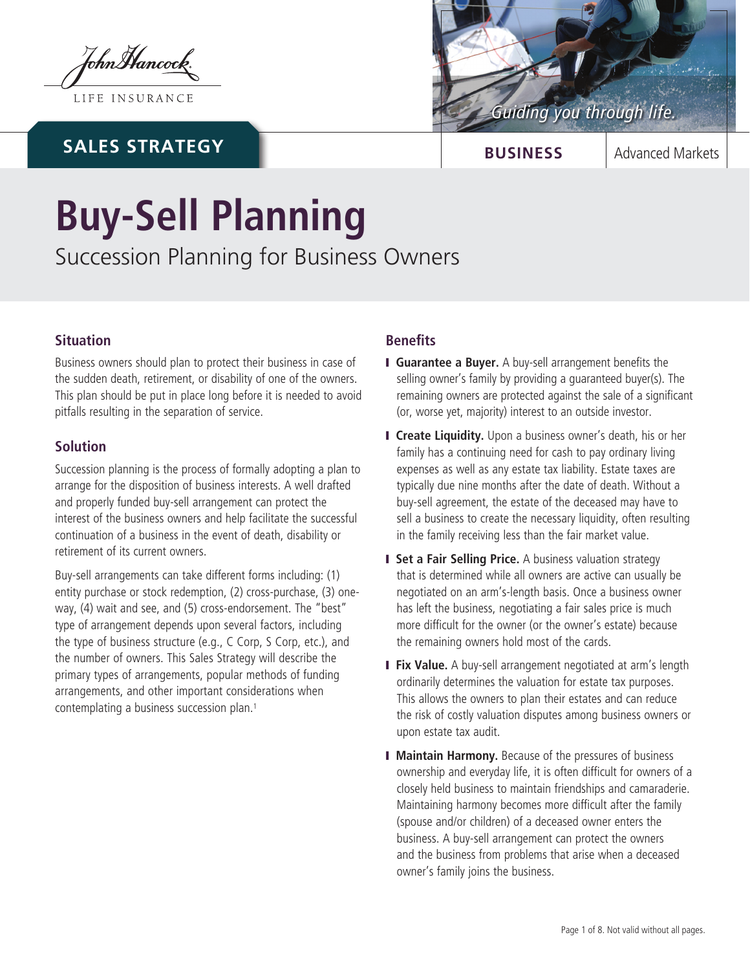tohnMancock

LIFE INSURANCE

## **SALES STRATEGY**



**BUSINESS** | Advanced Markets

# **Buy-Sell Planning**

Succession Planning for Business Owners

## **Situation**

Business owners should plan to protect their business in case of the sudden death, retirement, or disability of one of the owners. This plan should be put in place long before it is needed to avoid pitfalls resulting in the separation of service.

## **Solution**

Succession planning is the process of formally adopting a plan to arrange for the disposition of business interests. A well drafted and properly funded buy-sell arrangement can protect the interest of the business owners and help facilitate the successful continuation of a business in the event of death, disability or retirement of its current owners.

Buy-sell arrangements can take different forms including: (1) entity purchase or stock redemption, (2) cross-purchase, (3) oneway, (4) wait and see, and (5) cross-endorsement. The "best" type of arrangement depends upon several factors, including the type of business structure (e.g., C Corp, S Corp, etc.), and the number of owners. This Sales Strategy will describe the primary types of arrangements, popular methods of funding arrangements, and other important considerations when contemplating a business succession plan.1

## **Benefits**

- **I Guarantee a Buyer.** A buy-sell arrangement benefits the selling owner's family by providing a guaranteed buyer(s). The remaining owners are protected against the sale of a significant (or, worse yet, majority) interest to an outside investor.
- **I** Create Liquidity. Upon a business owner's death, his or her family has a continuing need for cash to pay ordinary living expenses as well as any estate tax liability. Estate taxes are typically due nine months after the date of death. Without a buy-sell agreement, the estate of the deceased may have to sell a business to create the necessary liquidity, often resulting in the family receiving less than the fair market value.
- **I** Set a Fair Selling Price. A business valuation strategy that is determined while all owners are active can usually be negotiated on an arm's-length basis. Once a business owner has left the business, negotiating a fair sales price is much more difficult for the owner (or the owner's estate) because the remaining owners hold most of the cards.
- **Fix Value.** A buy-sell arrangement negotiated at arm's length ordinarily determines the valuation for estate tax purposes. This allows the owners to plan their estates and can reduce the risk of costly valuation disputes among business owners or upon estate tax audit.
- **I Maintain Harmony.** Because of the pressures of business ownership and everyday life, it is often difficult for owners of a closely held business to maintain friendships and camaraderie. Maintaining harmony becomes more difficult after the family (spouse and/or children) of a deceased owner enters the business. A buy-sell arrangement can protect the owners and the business from problems that arise when a deceased owner's family joins the business.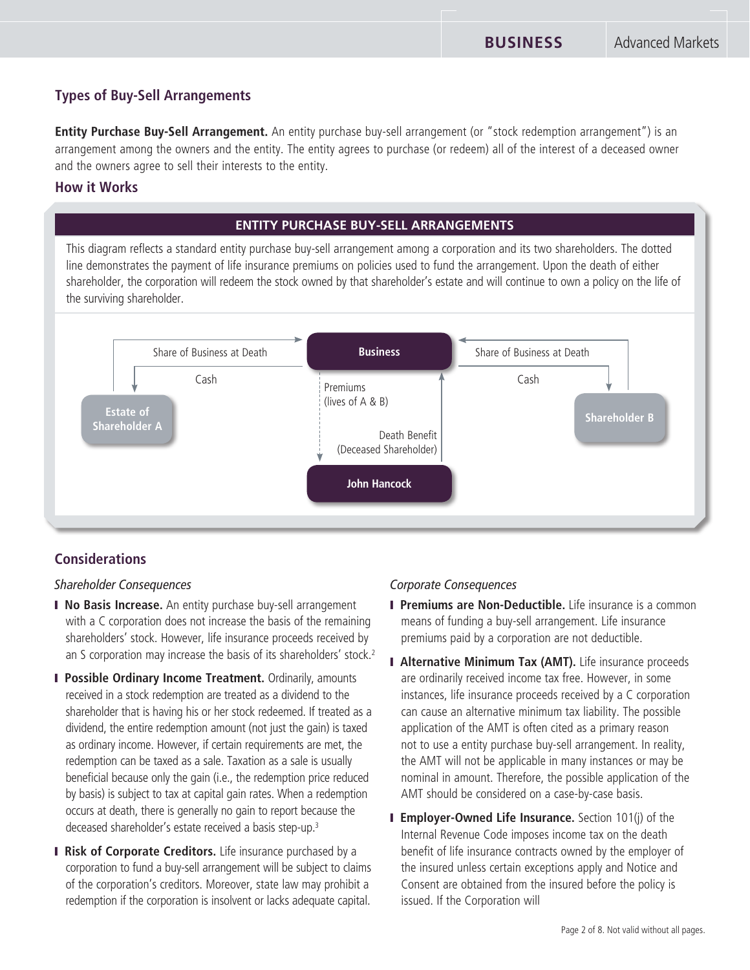## **Types of Buy-Sell Arrangements**

**Entity Purchase Buy-Sell Arrangement.** An entity purchase buy-sell arrangement (or "stock redemption arrangement") is an arrangement among the owners and the entity. The entity agrees to purchase (or redeem) all of the interest of a deceased owner and the owners agree to sell their interests to the entity.

## **How it Works**

## **ENTITY PURCHASE BUY-SELL ARRANGEMENTS**

This diagram reflects a standard entity purchase buy-sell arrangement among a corporation and its two shareholders. The dotted line demonstrates the payment of life insurance premiums on policies used to fund the arrangement. Upon the death of either shareholder, the corporation will redeem the stock owned by that shareholder's estate and will continue to own a policy on the life of the surviving shareholder.



## **Considerations**

#### *Shareholder Consequences*

- **I No Basis Increase.** An entity purchase buy-sell arrangement with a C corporation does not increase the basis of the remaining shareholders' stock. However, life insurance proceeds received by an S corporation may increase the basis of its shareholders' stock.<sup>2</sup>
- **I Possible Ordinary Income Treatment.** Ordinarily, amounts received in a stock redemption are treated as a dividend to the shareholder that is having his or her stock redeemed. If treated as a dividend, the entire redemption amount (not just the gain) is taxed as ordinary income. However, if certain requirements are met, the redemption can be taxed as a sale. Taxation as a sale is usually beneficial because only the gain (i.e., the redemption price reduced by basis) is subject to tax at capital gain rates. When a redemption occurs at death, there is generally no gain to report because the deceased shareholder's estate received a basis step-up.3
- **I Risk of Corporate Creditors.** Life insurance purchased by a corporation to fund a buy-sell arrangement will be subject to claims of the corporation's creditors. Moreover, state law may prohibit a redemption if the corporation is insolvent or lacks adequate capital.

#### *Corporate Consequences*

- **I Premiums are Non-Deductible.** Life insurance is a common means of funding a buy-sell arrangement. Life insurance premiums paid by a corporation are not deductible.
- **I Alternative Minimum Tax (AMT).** Life insurance proceeds are ordinarily received income tax free. However, in some instances, life insurance proceeds received by a C corporation can cause an alternative minimum tax liability. The possible application of the AMT is often cited as a primary reason not to use a entity purchase buy-sell arrangement. In reality, the AMT will not be applicable in many instances or may be nominal in amount. Therefore, the possible application of the AMT should be considered on a case-by-case basis.
- **I Employer-Owned Life Insurance.** Section 101(i) of the Internal Revenue Code imposes income tax on the death benefit of life insurance contracts owned by the employer of the insured unless certain exceptions apply and Notice and Consent are obtained from the insured before the policy is issued. If the Corporation will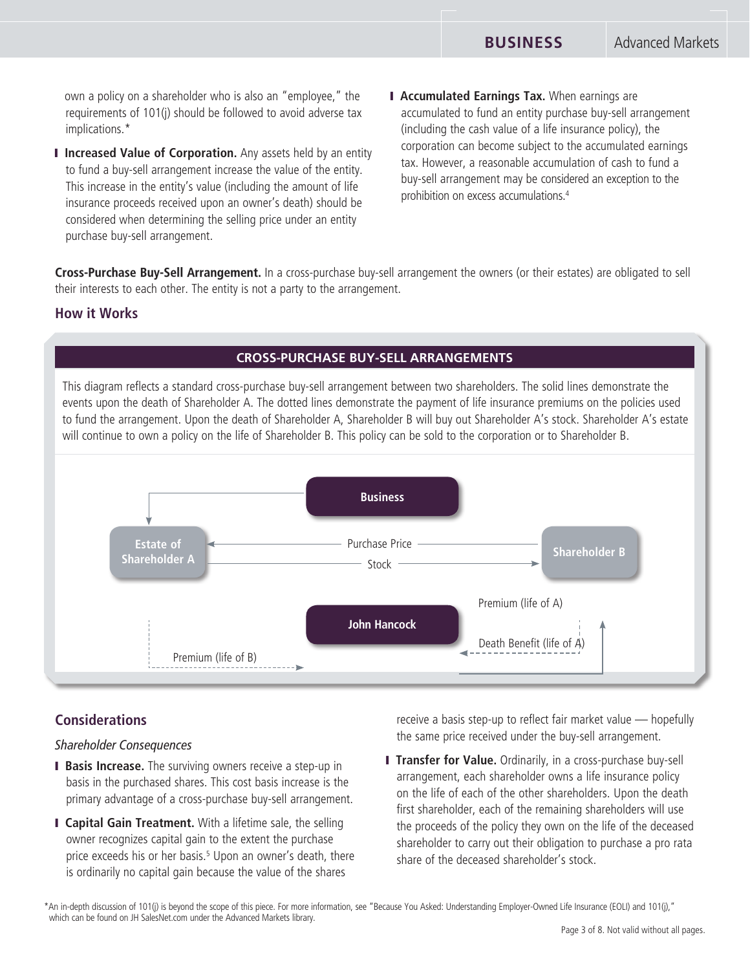own a policy on a shareholder who is also an "employee," the requirements of 101(j) should be followed to avoid adverse tax implications.\*

- **I Increased Value of Corporation.** Any assets held by an entity to fund a buy-sell arrangement increase the value of the entity. This increase in the entity's value (including the amount of life insurance proceeds received upon an owner's death) should be considered when determining the selling price under an entity purchase buy-sell arrangement.
- **I Accumulated Earnings Tax.** When earnings are accumulated to fund an entity purchase buy-sell arrangement (including the cash value of a life insurance policy), the corporation can become subject to the accumulated earnings tax. However, a reasonable accumulation of cash to fund a buy-sell arrangement may be considered an exception to the prohibition on excess accumulations.4

**Cross-Purchase Buy-Sell Arrangement.** In a cross-purchase buy-sell arrangement the owners (or their estates) are obligated to sell their interests to each other. The entity is not a party to the arrangement.

#### **How it Works**

#### **CROSS-PURCHASE BUY-SELL ARRANGEMENTS**

This diagram reflects a standard cross-purchase buy-sell arrangement between two shareholders. The solid lines demonstrate the events upon the death of Shareholder A. The dotted lines demonstrate the payment of life insurance premiums on the policies used to fund the arrangement. Upon the death of Shareholder A, Shareholder B will buy out Shareholder A's stock. Shareholder A's estate will continue to own a policy on the life of Shareholder B. This policy can be sold to the corporation or to Shareholder B.



#### **Considerations**

#### *Shareholder Consequences*

- **Basis Increase.** The surviving owners receive a step-up in basis in the purchased shares. This cost basis increase is the primary advantage of a cross-purchase buy-sell arrangement.
- **I Capital Gain Treatment.** With a lifetime sale, the selling owner recognizes capital gain to the extent the purchase price exceeds his or her basis.<sup>5</sup> Upon an owner's death, there is ordinarily no capital gain because the value of the shares

receive a basis step-up to reflect fair market value — hopefully the same price received under the buy-sell arrangement.

**I Transfer for Value.** Ordinarily, in a cross-purchase buy-sell arrangement, each shareholder owns a life insurance policy on the life of each of the other shareholders. Upon the death first shareholder, each of the remaining shareholders will use the proceeds of the policy they own on the life of the deceased shareholder to carry out their obligation to purchase a pro rata share of the deceased shareholder's stock.

\*An in-depth discussion of 101(j) is beyond the scope of this piece. For more information, see "Because You Asked: Understanding Employer-Owned Life Insurance (EOLI) and 101(j)," which can be found on JH SalesNet.com under the Advanced Markets library.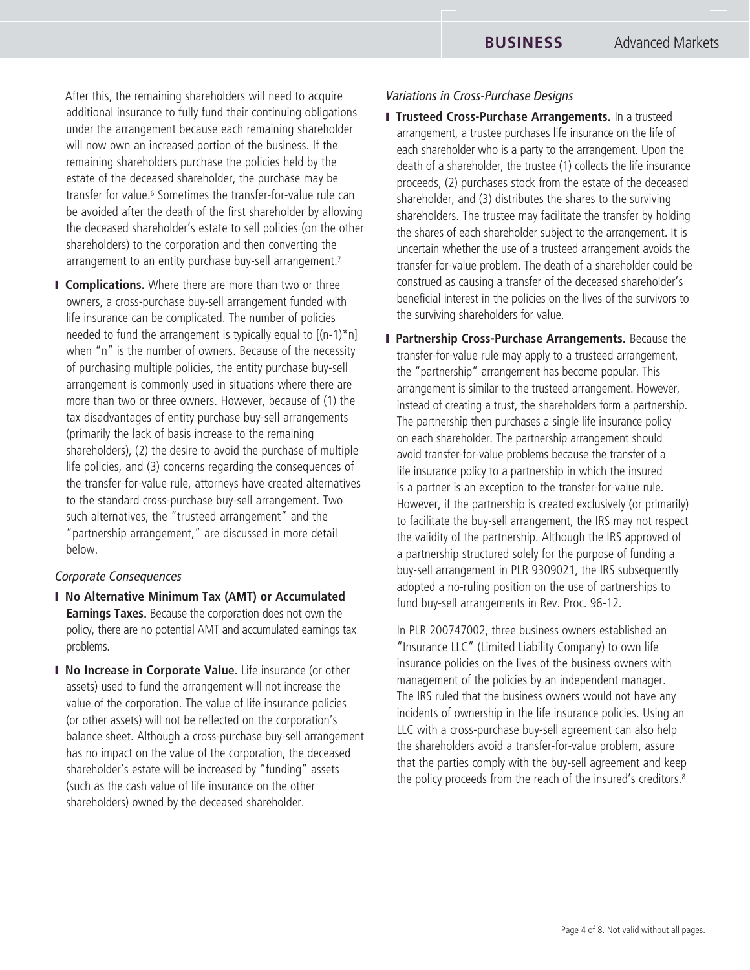After this, the remaining shareholders will need to acquire additional insurance to fully fund their continuing obligations under the arrangement because each remaining shareholder will now own an increased portion of the business. If the remaining shareholders purchase the policies held by the estate of the deceased shareholder, the purchase may be transfer for value.6 Sometimes the transfer-for-value rule can be avoided after the death of the first shareholder by allowing the deceased shareholder's estate to sell policies (on the other shareholders) to the corporation and then converting the arrangement to an entity purchase buy-sell arrangement.<sup>7</sup>

**I Complications.** Where there are more than two or three owners, a cross-purchase buy-sell arrangement funded with life insurance can be complicated. The number of policies needed to fund the arrangement is typically equal to  $[(n-1)^*n]$ when "n" is the number of owners. Because of the necessity of purchasing multiple policies, the entity purchase buy-sell arrangement is commonly used in situations where there are more than two or three owners. However, because of (1) the tax disadvantages of entity purchase buy-sell arrangements (primarily the lack of basis increase to the remaining shareholders), (2) the desire to avoid the purchase of multiple life policies, and (3) concerns regarding the consequences of the transfer-for-value rule, attorneys have created alternatives to the standard cross-purchase buy-sell arrangement. Two such alternatives, the "trusteed arrangement" and the "partnership arrangement," are discussed in more detail below.

#### *Corporate Consequences*

- **I** No Alternative Minimum Tax (AMT) or Accumulated **Earnings Taxes.** Because the corporation does not own the policy, there are no potential AMT and accumulated earnings tax problems.
- **I No Increase in Corporate Value.** Life insurance (or other assets) used to fund the arrangement will not increase the value of the corporation. The value of life insurance policies (or other assets) will not be reflected on the corporation's balance sheet. Although a cross-purchase buy-sell arrangement has no impact on the value of the corporation, the deceased shareholder's estate will be increased by "funding" assets (such as the cash value of life insurance on the other shareholders) owned by the deceased shareholder.

#### *Variations in Cross-Purchase Designs*

- **I Trusteed Cross-Purchase Arrangements.** In a trusteed arrangement, a trustee purchases life insurance on the life of each shareholder who is a party to the arrangement. Upon the death of a shareholder, the trustee (1) collects the life insurance proceeds, (2) purchases stock from the estate of the deceased shareholder, and (3) distributes the shares to the surviving shareholders. The trustee may facilitate the transfer by holding the shares of each shareholder subject to the arrangement. It is uncertain whether the use of a trusteed arrangement avoids the transfer-for-value problem. The death of a shareholder could be construed as causing a transfer of the deceased shareholder's beneficial interest in the policies on the lives of the survivors to the surviving shareholders for value.
- **I Partnership Cross-Purchase Arrangements.** Because the transfer-for-value rule may apply to a trusteed arrangement, the "partnership" arrangement has become popular. This arrangement is similar to the trusteed arrangement. However, instead of creating a trust, the shareholders form a partnership. The partnership then purchases a single life insurance policy on each shareholder. The partnership arrangement should avoid transfer-for-value problems because the transfer of a life insurance policy to a partnership in which the insured is a partner is an exception to the transfer-for-value rule. However, if the partnership is created exclusively (or primarily) to facilitate the buy-sell arrangement, the IRS may not respect the validity of the partnership. Although the IRS approved of a partnership structured solely for the purpose of funding a buy-sell arrangement in PLR 9309021, the IRS subsequently adopted a no-ruling position on the use of partnerships to fund buy-sell arrangements in Rev. Proc. 96-12.

In PLR 200747002, three business owners established an "Insurance LLC" (Limited Liability Company) to own life insurance policies on the lives of the business owners with management of the policies by an independent manager. The IRS ruled that the business owners would not have any incidents of ownership in the life insurance policies. Using an LLC with a cross-purchase buy-sell agreement can also help the shareholders avoid a transfer-for-value problem, assure that the parties comply with the buy-sell agreement and keep the policy proceeds from the reach of the insured's creditors.8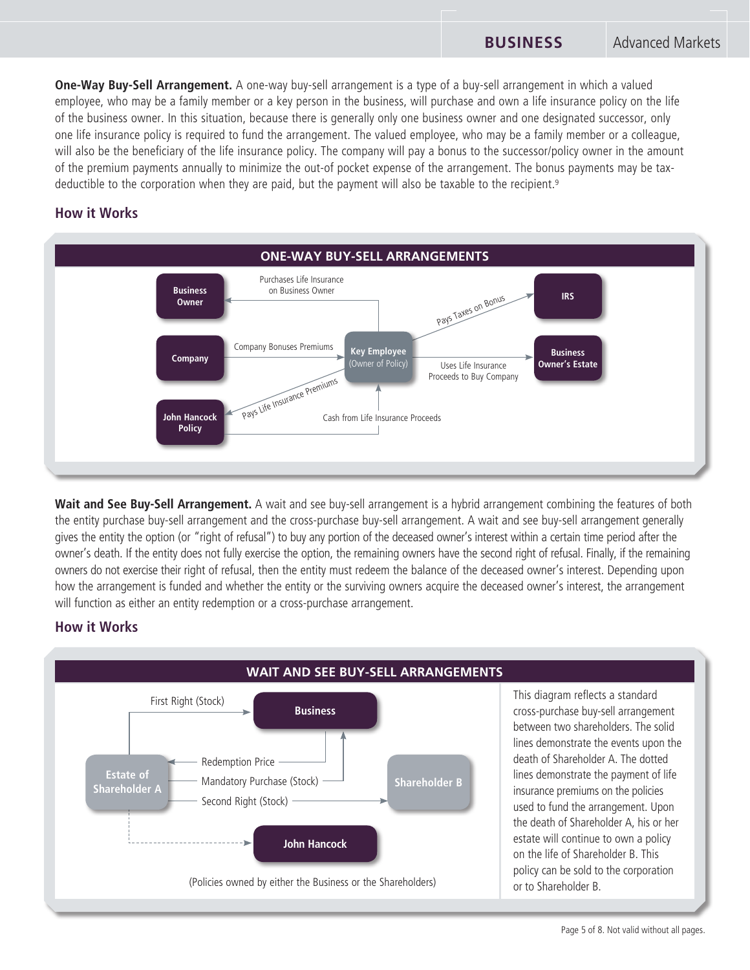**One-Way Buy-Sell Arrangement.** A one-way buy-sell arrangement is a type of a buy-sell arrangement in which a valued employee, who may be a family member or a key person in the business, will purchase and own a life insurance policy on the life of the business owner. In this situation, because there is generally only one business owner and one designated successor, only one life insurance policy is required to fund the arrangement. The valued employee, who may be a family member or a colleague, will also be the beneficiary of the life insurance policy. The company will pay a bonus to the successor/policy owner in the amount of the premium payments annually to minimize the out-of pocket expense of the arrangement. The bonus payments may be taxdeductible to the corporation when they are paid, but the payment will also be taxable to the recipient.<sup>9</sup>

## **How it Works**



Wait and See Buy-Sell Arrangement. A wait and see buy-sell arrangement is a hybrid arrangement combining the features of both the entity purchase buy-sell arrangement and the cross-purchase buy-sell arrangement. A wait and see buy-sell arrangement generally gives the entity the option (or "right of refusal") to buy any portion of the deceased owner's interest within a certain time period after the owner's death. If the entity does not fully exercise the option, the remaining owners have the second right of refusal. Finally, if the remaining owners do not exercise their right of refusal, then the entity must redeem the balance of the deceased owner's interest. Depending upon how the arrangement is funded and whether the entity or the surviving owners acquire the deceased owner's interest, the arrangement will function as either an entity redemption or a cross-purchase arrangement.

## **How it Works**



Page 5 of 8. Not valid without all pages.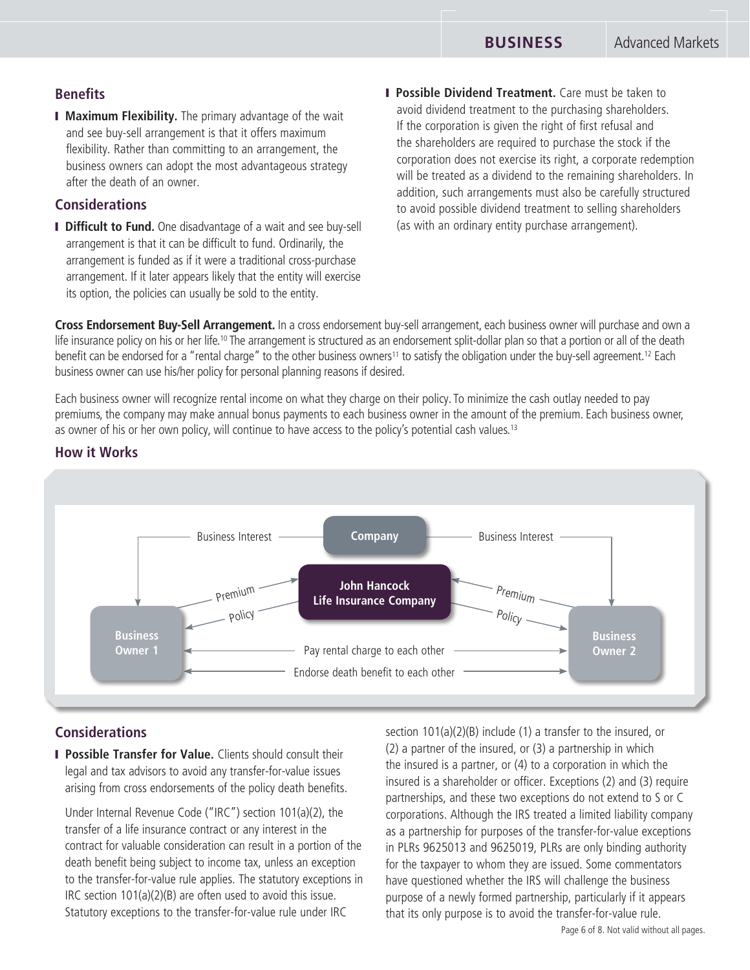## **Benefits**

**I Maximum Flexibility.** The primary advantage of the wait and see buy-sell arrangement is that it offers maximum flexibility. Rather than committing to an arrangement, the business owners can adopt the most advantageous strategy after the death of an owner.

## **Considerations**

- **I Difficult to Fund.** One disadvantage of a wait and see buy-sell arrangement is that it can be difficult to fund. Ordinarily, the arrangement is funded as if it were a traditional cross-purchase arrangement. If it later appears likely that the entity will exercise its option, the policies can usually be sold to the entity.
- **I Possible Dividend Treatment.** Care must be taken to avoid dividend treatment to the purchasing shareholders. If the corporation is given the right of first refusal and the shareholders are required to purchase the stock if the corporation does not exercise its right, a corporate redemption will be treated as a dividend to the remaining shareholders. In addition, such arrangements must also be carefully structured to avoid possible dividend treatment to selling shareholders (as with an ordinary entity purchase arrangement).

**Cross Endorsement Buy-Sell Arrangement.** In a cross endorsement buy-sell arrangement, each business owner will purchase and own a life insurance policy on his or her life.<sup>10</sup> The arrangement is structured as an endorsement split-dollar plan so that a portion or all of the death benefit can be endorsed for a "rental charge" to the other business owners<sup>11</sup> to satisfy the obligation under the buy-sell agreement.<sup>12</sup> Each business owner can use his/her policy for personal planning reasons if desired.

Each business owner will recognize rental income on what they charge on their policy. To minimize the cash outlay needed to pay premiums, the company may make annual bonus payments to each business owner in the amount of the premium. Each business owner, as owner of his or her own policy, will continue to have access to the policy's potential cash values.<sup>13</sup>



## **How it Works**

## **Considerations**

**Possible Transfer for Value.** Clients should consult their legal and tax advisors to avoid any transfer-for-value issues arising from cross endorsements of the policy death benefits.

 Under Internal Revenue Code ("IRC") section 101(a)(2), the transfer of a life insurance contract or any interest in the contract for valuable consideration can result in a portion of the death benefit being subject to income tax, unless an exception to the transfer-for-value rule applies. The statutory exceptions in IRC section 101(a)(2)(B) are often used to avoid this issue. Statutory exceptions to the transfer-for-value rule under IRC

section 101(a)(2)(B) include (1) a transfer to the insured, or (2) a partner of the insured, or (3) a partnership in which the insured is a partner, or (4) to a corporation in which the insured is a shareholder or officer. Exceptions (2) and (3) require partnerships, and these two exceptions do not extend to S or C corporations. Although the IRS treated a limited liability company as a partnership for purposes of the transfer-for-value exceptions in PLRs 9625013 and 9625019, PLRs are only binding authority for the taxpayer to whom they are issued. Some commentators have questioned whether the IRS will challenge the business purpose of a newly formed partnership, particularly if it appears that its only purpose is to avoid the transfer-for-value rule.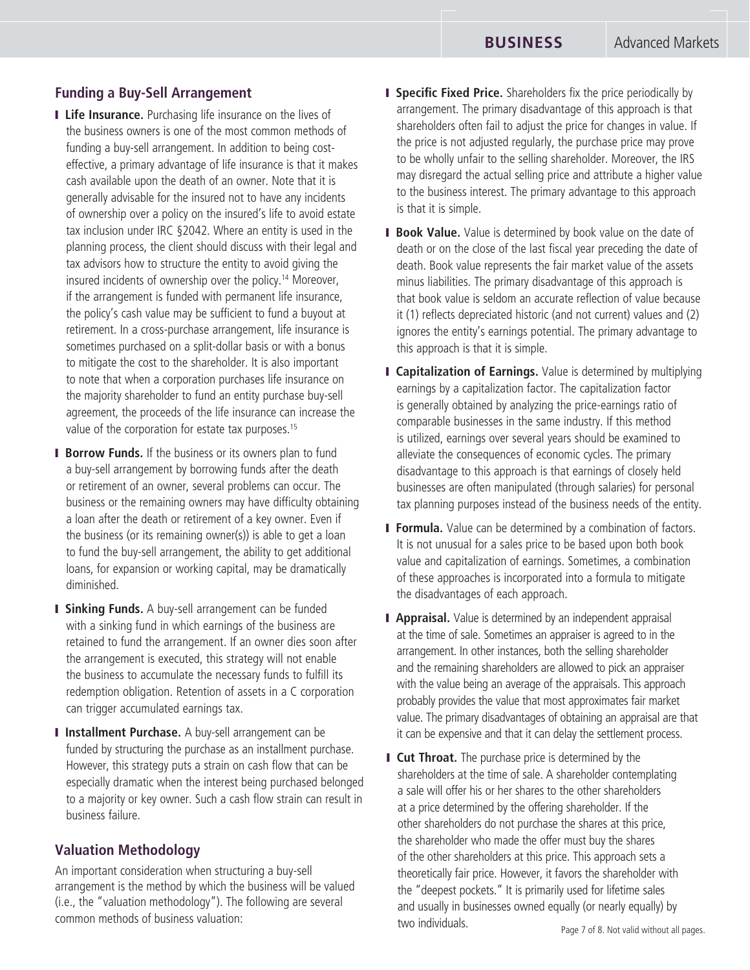## **Funding a Buy-Sell Arrangement**

- **I Life Insurance.** Purchasing life insurance on the lives of the business owners is one of the most common methods of funding a buy-sell arrangement. In addition to being costeffective, a primary advantage of life insurance is that it makes cash available upon the death of an owner. Note that it is generally advisable for the insured not to have any incidents of ownership over a policy on the insured's life to avoid estate tax inclusion under IRC §2042. Where an entity is used in the planning process, the client should discuss with their legal and tax advisors how to structure the entity to avoid giving the insured incidents of ownership over the policy.14 Moreover, if the arrangement is funded with permanent life insurance, the policy's cash value may be sufficient to fund a buyout at retirement. In a cross-purchase arrangement, life insurance is sometimes purchased on a split-dollar basis or with a bonus to mitigate the cost to the shareholder. It is also important to note that when a corporation purchases life insurance on the majority shareholder to fund an entity purchase buy-sell agreement, the proceeds of the life insurance can increase the value of the corporation for estate tax purposes.<sup>15</sup>
- **Borrow Funds.** If the business or its owners plan to fund a buy-sell arrangement by borrowing funds after the death or retirement of an owner, several problems can occur. The business or the remaining owners may have difficulty obtaining a loan after the death or retirement of a key owner. Even if the business (or its remaining owner(s)) is able to get a loan to fund the buy-sell arrangement, the ability to get additional loans, for expansion or working capital, may be dramatically diminished.
- **I Sinking Funds.** A buy-sell arrangement can be funded with a sinking fund in which earnings of the business are retained to fund the arrangement. If an owner dies soon after the arrangement is executed, this strategy will not enable the business to accumulate the necessary funds to fulfill its redemption obligation. Retention of assets in a C corporation can trigger accumulated earnings tax.
- **I Installment Purchase.** A buy-sell arrangement can be funded by structuring the purchase as an installment purchase. However, this strategy puts a strain on cash flow that can be especially dramatic when the interest being purchased belonged to a majority or key owner. Such a cash flow strain can result in business failure.

## **Valuation Methodology**

An important consideration when structuring a buy-sell arrangement is the method by which the business will be valued (i.e., the "valuation methodology"). The following are several common methods of business valuation:

- **I** Specific Fixed Price. Shareholders fix the price periodically by arrangement. The primary disadvantage of this approach is that shareholders often fail to adjust the price for changes in value. If the price is not adjusted regularly, the purchase price may prove to be wholly unfair to the selling shareholder. Moreover, the IRS may disregard the actual selling price and attribute a higher value to the business interest. The primary advantage to this approach is that it is simple.
- **Book Value.** Value is determined by book value on the date of death or on the close of the last fiscal year preceding the date of death. Book value represents the fair market value of the assets minus liabilities. The primary disadvantage of this approach is that book value is seldom an accurate reflection of value because it (1) reflects depreciated historic (and not current) values and (2) ignores the entity's earnings potential. The primary advantage to this approach is that it is simple.
- **I Capitalization of Earnings.** Value is determined by multiplying earnings by a capitalization factor. The capitalization factor is generally obtained by analyzing the price-earnings ratio of comparable businesses in the same industry. If this method is utilized, earnings over several years should be examined to alleviate the consequences of economic cycles. The primary disadvantage to this approach is that earnings of closely held businesses are often manipulated (through salaries) for personal tax planning purposes instead of the business needs of the entity.
- **Formula.** Value can be determined by a combination of factors. It is not unusual for a sales price to be based upon both book value and capitalization of earnings. Sometimes, a combination of these approaches is incorporated into a formula to mitigate the disadvantages of each approach.
- **Appraisal.** Value is determined by an independent appraisal at the time of sale. Sometimes an appraiser is agreed to in the arrangement. In other instances, both the selling shareholder and the remaining shareholders are allowed to pick an appraiser with the value being an average of the appraisals. This approach probably provides the value that most approximates fair market value. The primary disadvantages of obtaining an appraisal are that it can be expensive and that it can delay the settlement process.
- **I** Cut Throat. The purchase price is determined by the shareholders at the time of sale. A shareholder contemplating a sale will offer his or her shares to the other shareholders at a price determined by the offering shareholder. If the other shareholders do not purchase the shares at this price, the shareholder who made the offer must buy the shares of the other shareholders at this price. This approach sets a theoretically fair price. However, it favors the shareholder with the "deepest pockets." It is primarily used for lifetime sales and usually in businesses owned equally (or nearly equally) by two individuals.